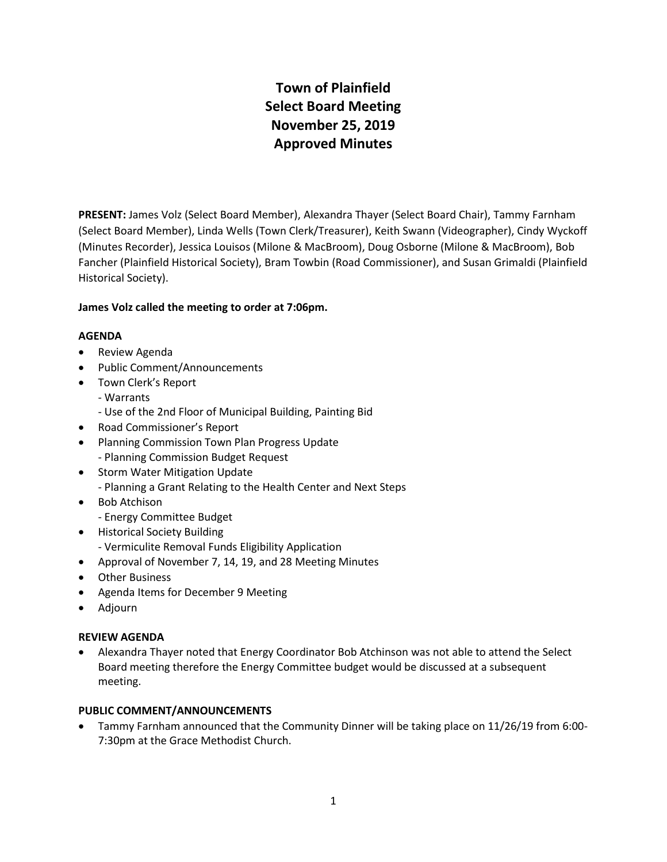# **Town of Plainfield Select Board Meeting November 25, 2019 Approved Minutes**

**PRESENT:** James Volz (Select Board Member), Alexandra Thayer (Select Board Chair), Tammy Farnham (Select Board Member), Linda Wells (Town Clerk/Treasurer), Keith Swann (Videographer), Cindy Wyckoff (Minutes Recorder), Jessica Louisos (Milone & MacBroom), Doug Osborne (Milone & MacBroom), Bob Fancher (Plainfield Historical Society), Bram Towbin (Road Commissioner), and Susan Grimaldi (Plainfield Historical Society).

## **James Volz called the meeting to order at 7:06pm.**

## **AGENDA**

- Review Agenda
- Public Comment/Announcements
- Town Clerk's Report
	- Warrants
	- Use of the 2nd Floor of Municipal Building, Painting Bid
- Road Commissioner's Report
- Planning Commission Town Plan Progress Update - Planning Commission Budget Request
- Storm Water Mitigation Update - Planning a Grant Relating to the Health Center and Next Steps
- Bob Atchison
	- Energy Committee Budget
- Historical Society Building
	- Vermiculite Removal Funds Eligibility Application
- Approval of November 7, 14, 19, and 28 Meeting Minutes
- Other Business
- Agenda Items for December 9 Meeting
- Adjourn

## **REVIEW AGENDA**

 Alexandra Thayer noted that Energy Coordinator Bob Atchinson was not able to attend the Select Board meeting therefore the Energy Committee budget would be discussed at a subsequent meeting.

## **PUBLIC COMMENT/ANNOUNCEMENTS**

 Tammy Farnham announced that the Community Dinner will be taking place on 11/26/19 from 6:00- 7:30pm at the Grace Methodist Church.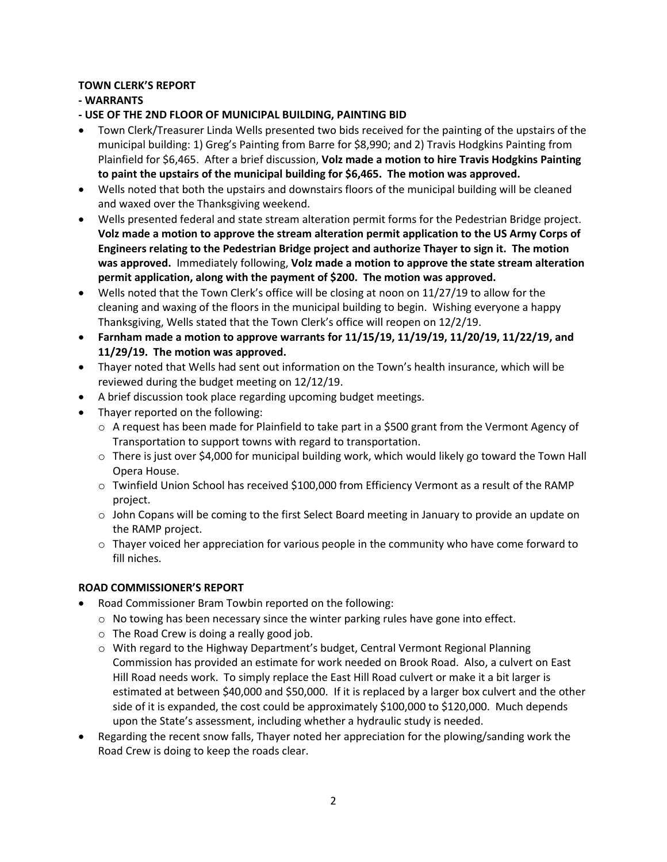# **TOWN CLERK'S REPORT**

# **- WARRANTS**

**- USE OF THE 2ND FLOOR OF MUNICIPAL BUILDING, PAINTING BID**

- Town Clerk/Treasurer Linda Wells presented two bids received for the painting of the upstairs of the municipal building: 1) Greg's Painting from Barre for \$8,990; and 2) Travis Hodgkins Painting from Plainfield for \$6,465. After a brief discussion, **Volz made a motion to hire Travis Hodgkins Painting to paint the upstairs of the municipal building for \$6,465. The motion was approved.**
- Wells noted that both the upstairs and downstairs floors of the municipal building will be cleaned and waxed over the Thanksgiving weekend.
- Wells presented federal and state stream alteration permit forms for the Pedestrian Bridge project. **Volz made a motion to approve the stream alteration permit application to the US Army Corps of Engineers relating to the Pedestrian Bridge project and authorize Thayer to sign it. The motion was approved.** Immediately following, **Volz made a motion to approve the state stream alteration permit application, along with the payment of \$200. The motion was approved.**
- Wells noted that the Town Clerk's office will be closing at noon on 11/27/19 to allow for the cleaning and waxing of the floors in the municipal building to begin. Wishing everyone a happy Thanksgiving, Wells stated that the Town Clerk's office will reopen on 12/2/19.
- **Farnham made a motion to approve warrants for 11/15/19, 11/19/19, 11/20/19, 11/22/19, and 11/29/19. The motion was approved.**
- Thayer noted that Wells had sent out information on the Town's health insurance, which will be reviewed during the budget meeting on 12/12/19.
- A brief discussion took place regarding upcoming budget meetings.
- Thayer reported on the following:
	- $\circ$  A request has been made for Plainfield to take part in a \$500 grant from the Vermont Agency of Transportation to support towns with regard to transportation.
	- $\circ$  There is just over \$4,000 for municipal building work, which would likely go toward the Town Hall Opera House.
	- $\circ$  Twinfield Union School has received \$100,000 from Efficiency Vermont as a result of the RAMP project.
	- $\circ$  John Copans will be coming to the first Select Board meeting in January to provide an update on the RAMP project.
	- $\circ$  Thayer voiced her appreciation for various people in the community who have come forward to fill niches.

## **ROAD COMMISSIONER'S REPORT**

- Road Commissioner Bram Towbin reported on the following:
	- $\circ$  No towing has been necessary since the winter parking rules have gone into effect.
	- o The Road Crew is doing a really good job.
	- o With regard to the Highway Department's budget, Central Vermont Regional Planning Commission has provided an estimate for work needed on Brook Road. Also, a culvert on East Hill Road needs work. To simply replace the East Hill Road culvert or make it a bit larger is estimated at between \$40,000 and \$50,000. If it is replaced by a larger box culvert and the other side of it is expanded, the cost could be approximately \$100,000 to \$120,000. Much depends upon the State's assessment, including whether a hydraulic study is needed.
- Regarding the recent snow falls, Thayer noted her appreciation for the plowing/sanding work the Road Crew is doing to keep the roads clear.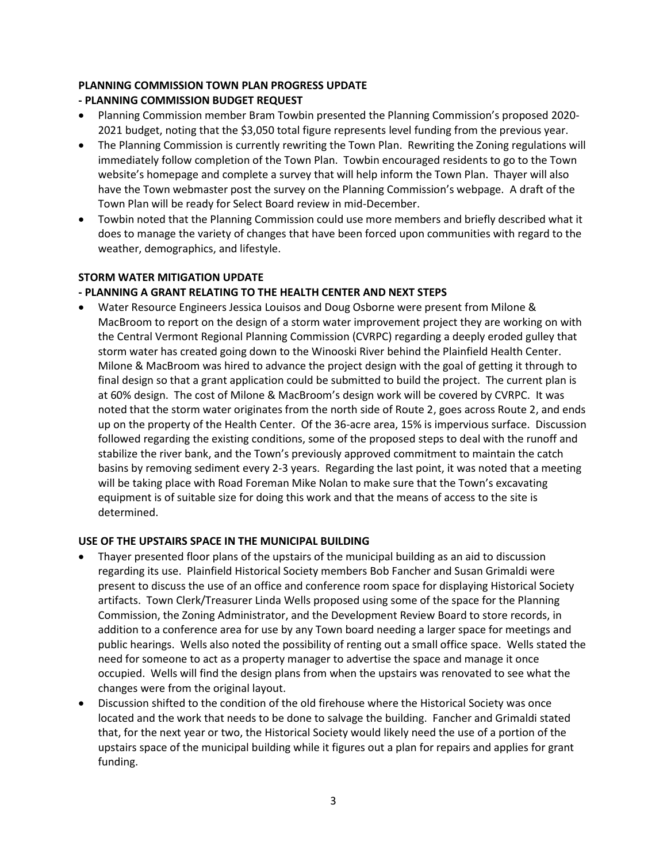## **PLANNING COMMISSION TOWN PLAN PROGRESS UPDATE**

# **- PLANNING COMMISSION BUDGET REQUEST**

- Planning Commission member Bram Towbin presented the Planning Commission's proposed 2020- 2021 budget, noting that the \$3,050 total figure represents level funding from the previous year.
- The Planning Commission is currently rewriting the Town Plan. Rewriting the Zoning regulations will immediately follow completion of the Town Plan. Towbin encouraged residents to go to the Town website's homepage and complete a survey that will help inform the Town Plan. Thayer will also have the Town webmaster post the survey on the Planning Commission's webpage. A draft of the Town Plan will be ready for Select Board review in mid-December.
- Towbin noted that the Planning Commission could use more members and briefly described what it does to manage the variety of changes that have been forced upon communities with regard to the weather, demographics, and lifestyle.

## **STORM WATER MITIGATION UPDATE**

## **- PLANNING A GRANT RELATING TO THE HEALTH CENTER AND NEXT STEPS**

 Water Resource Engineers Jessica Louisos and Doug Osborne were present from Milone & MacBroom to report on the design of a storm water improvement project they are working on with the Central Vermont Regional Planning Commission (CVRPC) regarding a deeply eroded gulley that storm water has created going down to the Winooski River behind the Plainfield Health Center. Milone & MacBroom was hired to advance the project design with the goal of getting it through to final design so that a grant application could be submitted to build the project. The current plan is at 60% design. The cost of Milone & MacBroom's design work will be covered by CVRPC. It was noted that the storm water originates from the north side of Route 2, goes across Route 2, and ends up on the property of the Health Center. Of the 36-acre area, 15% is impervious surface. Discussion followed regarding the existing conditions, some of the proposed steps to deal with the runoff and stabilize the river bank, and the Town's previously approved commitment to maintain the catch basins by removing sediment every 2-3 years. Regarding the last point, it was noted that a meeting will be taking place with Road Foreman Mike Nolan to make sure that the Town's excavating equipment is of suitable size for doing this work and that the means of access to the site is determined.

## **USE OF THE UPSTAIRS SPACE IN THE MUNICIPAL BUILDING**

- Thayer presented floor plans of the upstairs of the municipal building as an aid to discussion regarding its use. Plainfield Historical Society members Bob Fancher and Susan Grimaldi were present to discuss the use of an office and conference room space for displaying Historical Society artifacts. Town Clerk/Treasurer Linda Wells proposed using some of the space for the Planning Commission, the Zoning Administrator, and the Development Review Board to store records, in addition to a conference area for use by any Town board needing a larger space for meetings and public hearings. Wells also noted the possibility of renting out a small office space. Wells stated the need for someone to act as a property manager to advertise the space and manage it once occupied. Wells will find the design plans from when the upstairs was renovated to see what the changes were from the original layout.
- Discussion shifted to the condition of the old firehouse where the Historical Society was once located and the work that needs to be done to salvage the building. Fancher and Grimaldi stated that, for the next year or two, the Historical Society would likely need the use of a portion of the upstairs space of the municipal building while it figures out a plan for repairs and applies for grant funding.